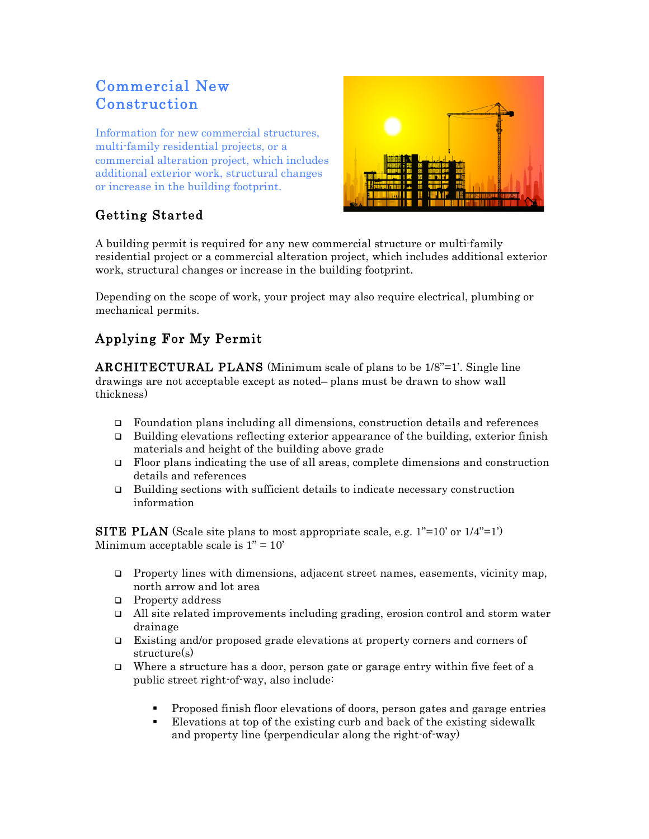# Commercial New Construction

Information for new commercial structures, multi-family residential projects, or a commercial alteration project, which includes additional exterior work, structural changes or increase in the building footprint.



## Getting Started

A building permit is required for any new commercial structure or multi-family residential project or a commercial alteration project, which includes additional exterior work, structural changes or increase in the building footprint.

Depending on the scope of work, your project may also require electrical, plumbing or mechanical permits.

## Applying For My Permit

ARCHITECTURAL PLANS (Minimum scale of plans to be 1/8"=1'. Single line drawings are not acceptable except as noted– plans must be drawn to show wall thickness)

- Foundation plans including all dimensions, construction details and references
- $\Box$  Building elevations reflecting exterior appearance of the building, exterior finish materials and height of the building above grade
- Floor plans indicating the use of all areas, complete dimensions and construction details and references
- Building sections with sufficient details to indicate necessary construction information

**SITE PLAN** (Scale site plans to most appropriate scale, e.g.  $1"=10'$  or  $1/4"=1'$ ) Minimum acceptable scale is  $1" = 10'$ 

- **Property lines with dimensions, adjacent street names, easements, vicinity map,** north arrow and lot area
- **Property address**
- $\Box$  All site related improvements including grading, erosion control and storm water drainage
- Existing and/or proposed grade elevations at property corners and corners of structure(s)
- Where a structure has a door, person gate or garage entry within five feet of a public street right-of-way, also include:
	- Proposed finish floor elevations of doors, person gates and garage entries
	- Elevations at top of the existing curb and back of the existing sidewalk and property line (perpendicular along the right-of-way)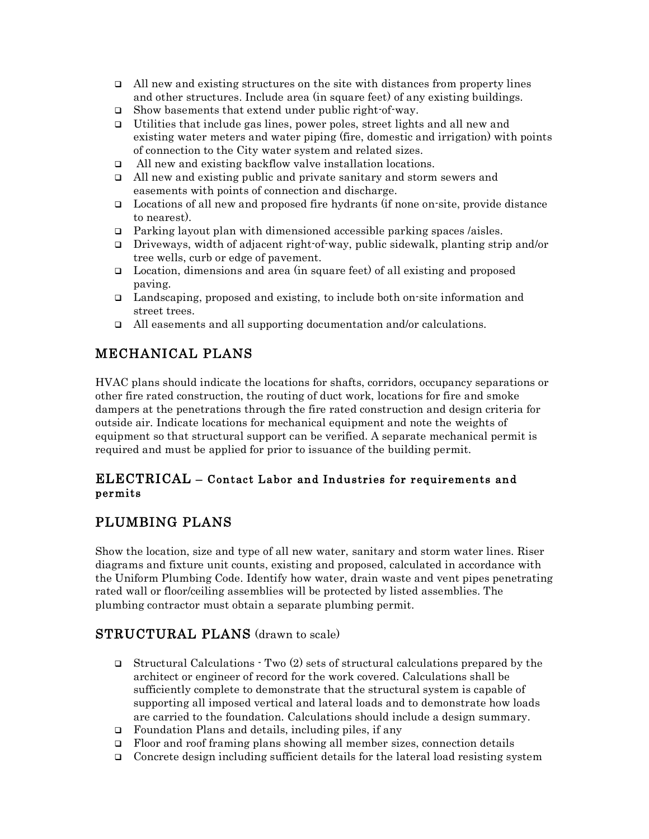- $\Box$  All new and existing structures on the site with distances from property lines and other structures. Include area (in square feet) of any existing buildings.
- □ Show basements that extend under public right-of-way.
- Utilities that include gas lines, power poles, street lights and all new and existing water meters and water piping (fire, domestic and irrigation) with points of connection to the City water system and related sizes.
- All new and existing backflow valve installation locations.
- All new and existing public and private sanitary and storm sewers and easements with points of connection and discharge.
- Locations of all new and proposed fire hydrants (if none on-site, provide distance to nearest).
- $\Box$  Parking layout plan with dimensioned accessible parking spaces /aisles.
- Driveways, width of adjacent right-of-way, public sidewalk, planting strip and/or tree wells, curb or edge of pavement.
- $\Box$  Location, dimensions and area (in square feet) of all existing and proposed paving.
- Landscaping, proposed and existing, to include both on-site information and street trees.
- All easements and all supporting documentation and/or calculations.

### MECHANICAL PLANS

HVAC plans should indicate the locations for shafts, corridors, occupancy separations or other fire rated construction, the routing of duct work, locations for fire and smoke dampers at the penetrations through the fire rated construction and design criteria for outside air. Indicate locations for mechanical equipment and note the weights of equipment so that structural support can be verified. A separate mechanical permit is required and must be applied for prior to issuance of the building permit.

#### ELECTRICAL – Contact Labor and Industries for requirements and permits

### PLUMBING PLANS

Show the location, size and type of all new water, sanitary and storm water lines. Riser diagrams and fixture unit counts, existing and proposed, calculated in accordance with the Uniform Plumbing Code. Identify how water, drain waste and vent pipes penetrating rated wall or floor/ceiling assemblies will be protected by listed assemblies. The plumbing contractor must obtain a separate plumbing permit.

### STRUCTURAL PLANS (drawn to scale)

- Structural Calculations  $\cdot$  Two (2) sets of structural calculations prepared by the architect or engineer of record for the work covered. Calculations shall be sufficiently complete to demonstrate that the structural system is capable of supporting all imposed vertical and lateral loads and to demonstrate how loads are carried to the foundation. Calculations should include a design summary.
- Foundation Plans and details, including piles, if any
- $\Box$  Floor and roof framing plans showing all member sizes, connection details
- Concrete design including sufficient details for the lateral load resisting system